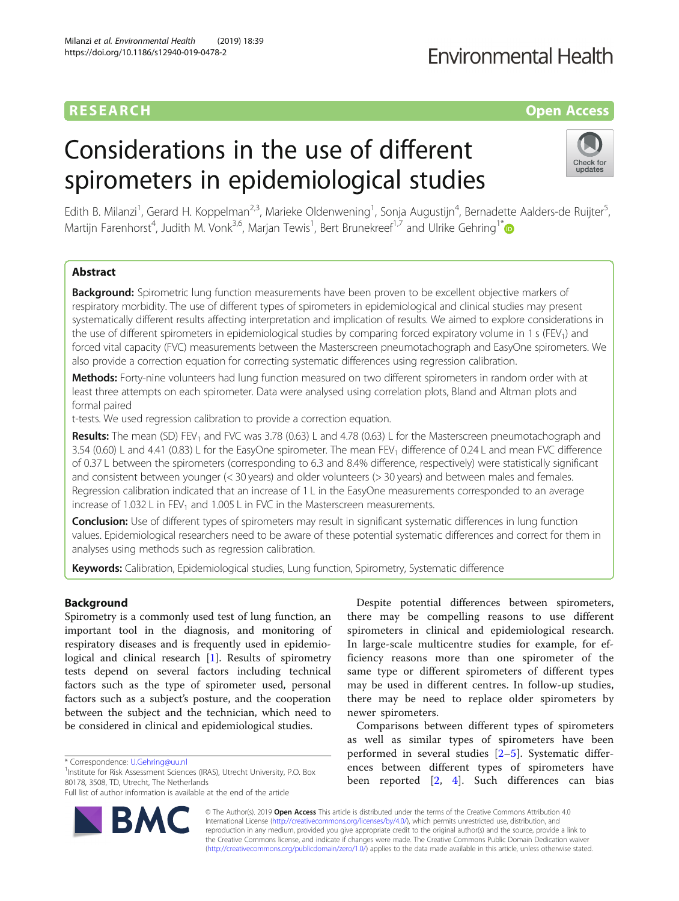## **RESEARCH CHINESEARCH CHINESEARCH CHINESEARCH CHINESE**

# Considerations in the use of different spirometers in epidemiological studies



Edith B. Milanzi<sup>1</sup>, Gerard H. Koppelman<sup>2,3</sup>, Marieke Oldenwening<sup>1</sup>, Sonja Augustijn<sup>4</sup>, Bernadette Aalders-de Ruijter<sup>5</sup> , Martijn Farenhorst<sup>4</sup>, Judith M. Vonk<sup>3,6</sup>, Marjan Tewis<sup>1</sup>, Bert Brunekreef<sup>1,7</sup> and Ulrike Gehring<sup>1[\\*](http://orcid.org/0000-0003-3612-5780)</sup>

### Abstract

**Background:** Spirometric lung function measurements have been proven to be excellent objective markers of respiratory morbidity. The use of different types of spirometers in epidemiological and clinical studies may present systematically different results affecting interpretation and implication of results. We aimed to explore considerations in the use of different spirometers in epidemiological studies by comparing forced expiratory volume in 1 s (FEV<sub>1</sub>) and forced vital capacity (FVC) measurements between the Masterscreen pneumotachograph and EasyOne spirometers. We also provide a correction equation for correcting systematic differences using regression calibration.

Methods: Forty-nine volunteers had lung function measured on two different spirometers in random order with at least three attempts on each spirometer. Data were analysed using correlation plots, Bland and Altman plots and formal paired

t-tests. We used regression calibration to provide a correction equation.

Results: The mean (SD) FEV<sub>1</sub> and FVC was 3.78 (0.63) L and 4.78 (0.63) L for the Masterscreen pneumotachograph and 3.54 (0.60) L and 4.41 (0.83) L for the EasyOne spirometer. The mean FEV<sub>1</sub> difference of 0.24 L and mean FVC difference of 0.37 L between the spirometers (corresponding to 6.3 and 8.4% difference, respectively) were statistically significant and consistent between younger (< 30 years) and older volunteers (> 30 years) and between males and females. Regression calibration indicated that an increase of 1 L in the EasyOne measurements corresponded to an average increase of  $1.032$  L in FEV<sub>1</sub> and  $1.005$  L in FVC in the Masterscreen measurements.

**Conclusion:** Use of different types of spirometers may result in significant systematic differences in lung function values. Epidemiological researchers need to be aware of these potential systematic differences and correct for them in analyses using methods such as regression calibration.

Keywords: Calibration, Epidemiological studies, Lung function, Spirometry, Systematic difference

#### Background

Spirometry is a commonly used test of lung function, an important tool in the diagnosis, and monitoring of respiratory diseases and is frequently used in epidemiological and clinical research [\[1\]](#page-7-0). Results of spirometry tests depend on several factors including technical factors such as the type of spirometer used, personal factors such as a subject's posture, and the cooperation between the subject and the technician, which need to be considered in clinical and epidemiological studies.

<sup>1</sup>Institute for Risk Assessment Sciences (IRAS), Utrecht University, P.O. Box 80178, 3508, TD, Utrecht, The Netherlands

Full list of author information is available at the end of the article



Despite potential differences between spirometers, there may be compelling reasons to use different spirometers in clinical and epidemiological research. In large-scale multicentre studies for example, for efficiency reasons more than one spirometer of the same type or different spirometers of different types may be used in different centres. In follow-up studies, there may be need to replace older spirometers by newer spirometers.

Comparisons between different types of spirometers as well as similar types of spirometers have been performed in several studies [\[2](#page-7-0)–[5](#page-7-0)]. Systematic differences between different types of spirometers have been reported [[2,](#page-7-0) [4\]](#page-7-0). Such differences can bias

© The Author(s). 2019 Open Access This article is distributed under the terms of the Creative Commons Attribution 4.0 International License [\(http://creativecommons.org/licenses/by/4.0/](http://creativecommons.org/licenses/by/4.0/)), which permits unrestricted use, distribution, and reproduction in any medium, provided you give appropriate credit to the original author(s) and the source, provide a link to the Creative Commons license, and indicate if changes were made. The Creative Commons Public Domain Dedication waiver [\(http://creativecommons.org/publicdomain/zero/1.0/](http://creativecommons.org/publicdomain/zero/1.0/)) applies to the data made available in this article, unless otherwise stated.

<sup>\*</sup> Correspondence: [U.Gehring@uu.nl](mailto:U.Gehring@uu.nl) <sup>1</sup>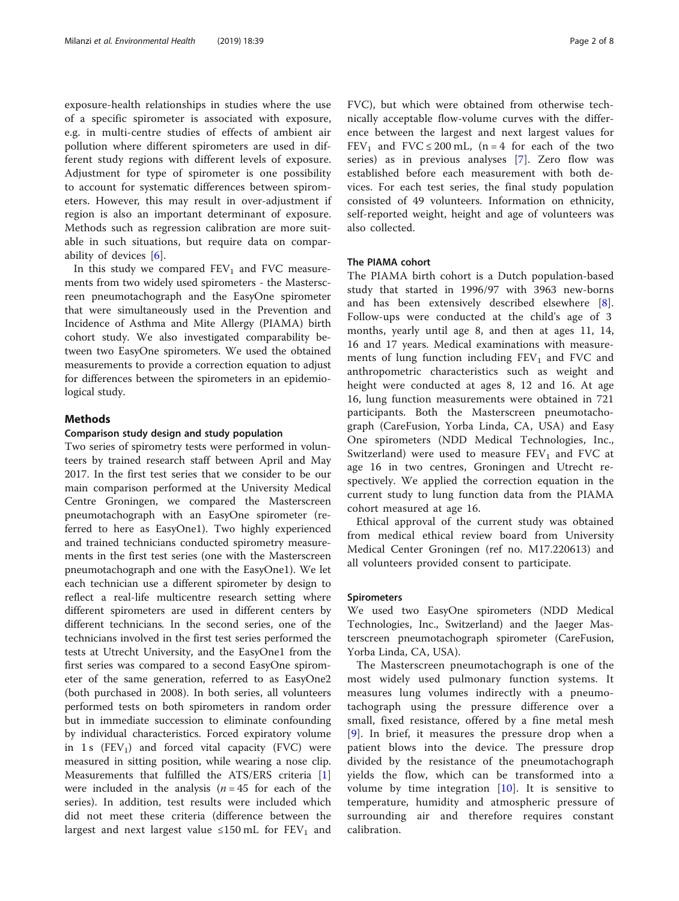exposure-health relationships in studies where the use of a specific spirometer is associated with exposure, e.g. in multi-centre studies of effects of ambient air pollution where different spirometers are used in different study regions with different levels of exposure. Adjustment for type of spirometer is one possibility to account for systematic differences between spirometers. However, this may result in over-adjustment if region is also an important determinant of exposure. Methods such as regression calibration are more suitable in such situations, but require data on comparability of devices [\[6](#page-7-0)].

In this study we compared  $FEV<sub>1</sub>$  and  $FVC$  measurements from two widely used spirometers - the Masterscreen pneumotachograph and the EasyOne spirometer that were simultaneously used in the Prevention and Incidence of Asthma and Mite Allergy (PIAMA) birth cohort study. We also investigated comparability between two EasyOne spirometers. We used the obtained measurements to provide a correction equation to adjust for differences between the spirometers in an epidemiological study.

#### Methods

#### Comparison study design and study population

Two series of spirometry tests were performed in volunteers by trained research staff between April and May 2017. In the first test series that we consider to be our main comparison performed at the University Medical Centre Groningen, we compared the Masterscreen pneumotachograph with an EasyOne spirometer (referred to here as EasyOne1). Two highly experienced and trained technicians conducted spirometry measurements in the first test series (one with the Masterscreen pneumotachograph and one with the EasyOne1). We let each technician use a different spirometer by design to reflect a real-life multicentre research setting where different spirometers are used in different centers by different technicians. In the second series, one of the technicians involved in the first test series performed the tests at Utrecht University, and the EasyOne1 from the first series was compared to a second EasyOne spirometer of the same generation, referred to as EasyOne2 (both purchased in 2008). In both series, all volunteers performed tests on both spirometers in random order but in immediate succession to eliminate confounding by individual characteristics. Forced expiratory volume in 1 s  $(FEV_1)$  and forced vital capacity  $(FVC)$  were measured in sitting position, while wearing a nose clip. Measurements that fulfilled the ATS/ERS criteria [\[1](#page-7-0)] were included in the analysis  $(n = 45)$  for each of the series). In addition, test results were included which did not meet these criteria (difference between the largest and next largest value  $\leq 150$  mL for  $FEV_1$  and FVC), but which were obtained from otherwise technically acceptable flow-volume curves with the difference between the largest and next largest values for FEV<sub>1</sub> and FVC  $\leq$  200 mL, (n = 4 for each of the two series) as in previous analyses [[7\]](#page-7-0). Zero flow was established before each measurement with both devices. For each test series, the final study population consisted of 49 volunteers. Information on ethnicity, self-reported weight, height and age of volunteers was also collected.

#### The PIAMA cohort

The PIAMA birth cohort is a Dutch population-based study that started in 1996/97 with 3963 new-borns and has been extensively described elsewhere [\[8](#page-7-0)]. Follow-ups were conducted at the child's age of 3 months, yearly until age 8, and then at ages 11, 14, 16 and 17 years. Medical examinations with measurements of lung function including  $FEV<sub>1</sub>$  and  $FVC$  and anthropometric characteristics such as weight and height were conducted at ages 8, 12 and 16. At age 16, lung function measurements were obtained in 721 participants. Both the Masterscreen pneumotachograph (CareFusion, Yorba Linda, CA, USA) and Easy One spirometers (NDD Medical Technologies, Inc., Switzerland) were used to measure  $FEV<sub>1</sub>$  and  $FVC$  at age 16 in two centres, Groningen and Utrecht respectively. We applied the correction equation in the current study to lung function data from the PIAMA cohort measured at age 16.

Ethical approval of the current study was obtained from medical ethical review board from University Medical Center Groningen (ref no. M17.220613) and all volunteers provided consent to participate.

#### Spirometers

We used two EasyOne spirometers (NDD Medical Technologies, Inc., Switzerland) and the Jaeger Masterscreen pneumotachograph spirometer (CareFusion, Yorba Linda, CA, USA).

The Masterscreen pneumotachograph is one of the most widely used pulmonary function systems. It measures lung volumes indirectly with a pneumotachograph using the pressure difference over a small, fixed resistance, offered by a fine metal mesh [[9](#page-7-0)]. In brief, it measures the pressure drop when a patient blows into the device. The pressure drop divided by the resistance of the pneumotachograph yields the flow, which can be transformed into a volume by time integration  $[10]$  $[10]$ . It is sensitive to temperature, humidity and atmospheric pressure of surrounding air and therefore requires constant calibration.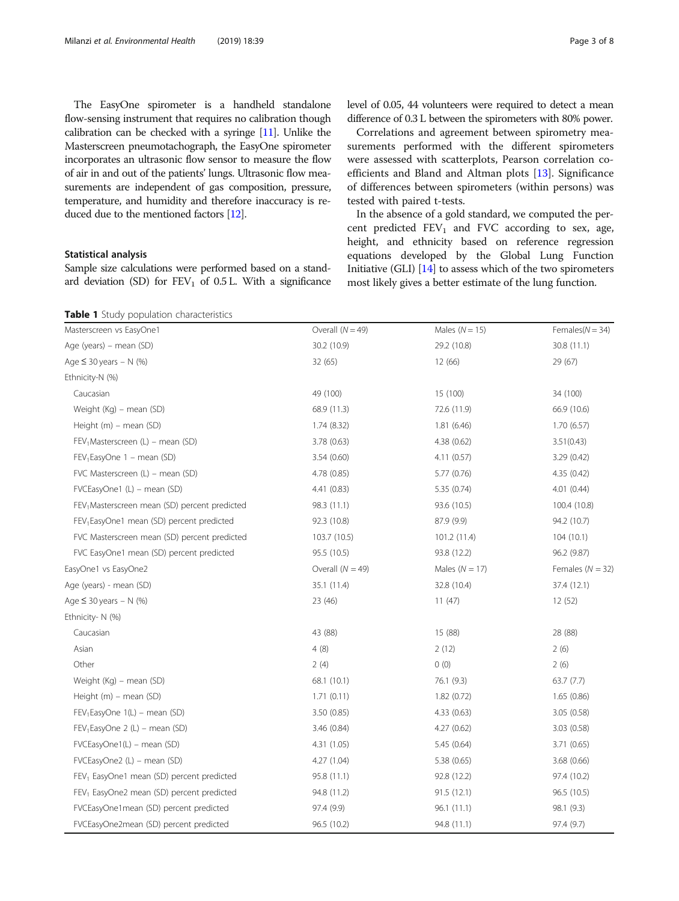<span id="page-2-0"></span>The EasyOne spirometer is a handheld standalone flow-sensing instrument that requires no calibration though calibration can be checked with a syringe [\[11\]](#page-7-0). Unlike the Masterscreen pneumotachograph, the EasyOne spirometer incorporates an ultrasonic flow sensor to measure the flow of air in and out of the patients' lungs. Ultrasonic flow measurements are independent of gas composition, pressure, temperature, and humidity and therefore inaccuracy is reduced due to the mentioned factors [\[12](#page-7-0)].

#### Statistical analysis

Sample size calculations were performed based on a standard deviation (SD) for  $FEV_1$  of 0.5 L. With a significance

**Table 1** Study population characteristics

level of 0.05, 44 volunteers were required to detect a mean difference of 0.3 L between the spirometers with 80% power.

Correlations and agreement between spirometry measurements performed with the different spirometers were assessed with scatterplots, Pearson correlation coefficients and Bland and Altman plots [[13\]](#page-7-0). Significance of differences between spirometers (within persons) was tested with paired t-tests.

In the absence of a gold standard, we computed the percent predicted  $FEV_1$  and  $FVC$  according to sex, age, height, and ethnicity based on reference regression equations developed by the Global Lung Function Initiative  $(GLI)$  [\[14\]](#page-7-0) to assess which of the two spirometers most likely gives a better estimate of the lung function.

| Masterscreen vs EasyOne1                                  | Overall $(N = 49)$ | Males ( $N = 15$ ) | Females( $N = 34$ ) |
|-----------------------------------------------------------|--------------------|--------------------|---------------------|
| Age (years) – mean (SD)                                   | 30.2 (10.9)        | 29.2 (10.8)        | 30.8 (11.1)         |
| Age $\leq$ 30 years $- N$ (%)                             | 32(65)             | 12 (66)            | 29 (67)             |
| Ethnicity-N (%)                                           |                    |                    |                     |
| Caucasian                                                 | 49 (100)           | 15 (100)           | 34 (100)            |
| Weight (Kg) – mean (SD)                                   | 68.9 (11.3)        | 72.6 (11.9)        | 66.9 (10.6)         |
| Height (m) - mean (SD)                                    | 1.74(8.32)         | 1.81(6.46)         | 1.70(6.57)          |
| $FEV1Masterscreen (L) - mean (SD)$                        | 3.78(0.63)         | 4.38 (0.62)        | 3.51(0.43)          |
| $FEV1EasyOne 1 - mean (SD)$                               | 3.54(0.60)         | 4.11 (0.57)        | 3.29 (0.42)         |
| FVC Masterscreen (L) – mean (SD)                          | 4.78 (0.85)        | 5.77 (0.76)        | 4.35(0.42)          |
| FVCEasyOne1 (L) - mean (SD)                               | 4.41 (0.83)        | 5.35 (0.74)        | 4.01(0.44)          |
| FEV <sub>1</sub> Masterscreen mean (SD) percent predicted | 98.3 (11.1)        | 93.6 (10.5)        | 100.4 (10.8)        |
| FEV <sub>1</sub> EasyOne1 mean (SD) percent predicted     | 92.3 (10.8)        | 87.9 (9.9)         | 94.2 (10.7)         |
| FVC Masterscreen mean (SD) percent predicted              | 103.7 (10.5)       | 101.2 (11.4)       | 104(10.1)           |
| FVC EasyOne1 mean (SD) percent predicted                  | 95.5 (10.5)        | 93.8 (12.2)        | 96.2 (9.87)         |
| EasyOne1 vs EasyOne2                                      | Overall $(N = 49)$ | Males ( $N = 17$ ) | Females $(N = 32)$  |
| Age (years) - mean (SD)                                   | 35.1 (11.4)        | 32.8 (10.4)        | 37.4 (12.1)         |
| Age $\leq$ 30 years $- N$ (%)                             | 23 (46)            | 11(47)             | 12 (52)             |
| Ethnicity- $N$ (%)                                        |                    |                    |                     |
| Caucasian                                                 | 43 (88)            | 15 (88)            | 28 (88)             |
| Asian                                                     | 4(8)               | 2(12)              | 2(6)                |
| Other                                                     | 2(4)               | 0(0)               | 2(6)                |
| Weight (Kg) – mean (SD)                                   | 68.1 (10.1)        | 76.1 (9.3)         | 63.7(7.7)           |
| Height (m) – mean (SD)                                    | 1.71(0.11)         | 1.82 (0.72)        | 1.65(0.86)          |
| $FEV_1EasyOne 1(L) - mean (SD)$                           | 3.50(0.85)         | 4.33(0.63)         | 3.05(0.58)          |
| $FEV_1EasyOne 2 (L) - mean (SD)$                          | 3.46 (0.84)        | 4.27(0.62)         | 3.03 (0.58)         |
| FVCEasyOne1(L) - mean (SD)                                | 4.31 (1.05)        | 5.45(0.64)         | 3.71 (0.65)         |
| FVCEasyOne2 (L) - mean (SD)                               | 4.27 (1.04)        | 5.38(0.65)         | 3.68(0.66)          |
| FEV <sub>1</sub> EasyOne1 mean (SD) percent predicted     | 95.8 (11.1)        | 92.8 (12.2)        | 97.4 (10.2)         |
| FEV <sub>1</sub> EasyOne2 mean (SD) percent predicted     | 94.8 (11.2)        | 91.5 (12.1)        | 96.5 (10.5)         |
| FVCEasyOne1mean (SD) percent predicted                    | 97.4 (9.9)         | 96.1 (11.1)        | 98.1 (9.3)          |
| FVCEasyOne2mean (SD) percent predicted                    | 96.5 (10.2)        | 94.8 (11.1)        | 97.4 (9.7)          |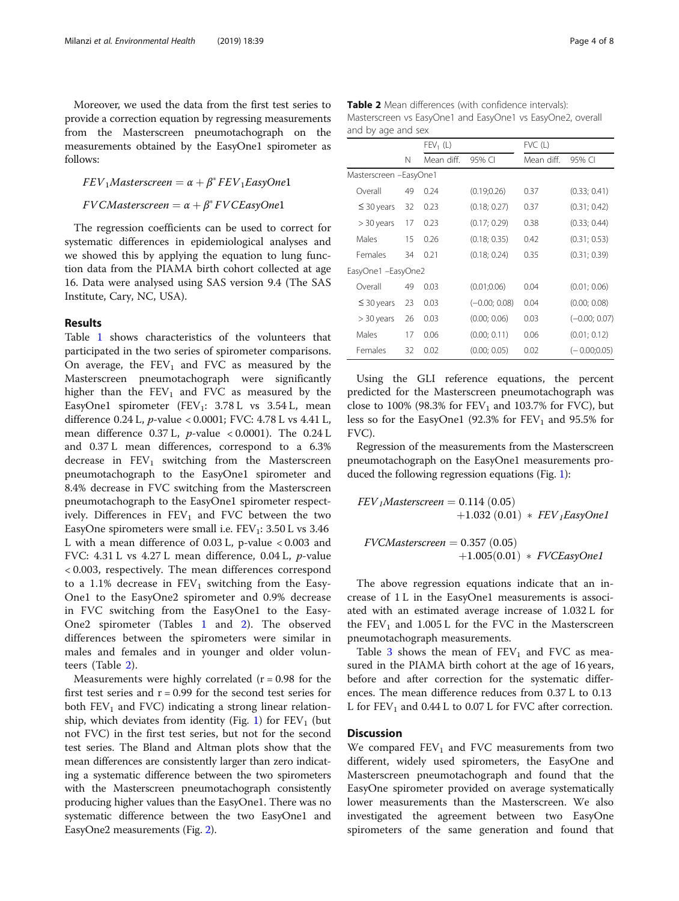Moreover, we used the data from the first test series to provide a correction equation by regressing measurements from the Masterscreen pneumotachograph on the measurements obtained by the EasyOne1 spirometer as follows:

 $FEV<sub>1</sub>Masterscreen = \alpha + \beta^* FEV<sub>1</sub>EasyOne1$  $FVCMasterscreen = \alpha + \beta^* FVCEasyOne1$ 

The regression coefficients can be used to correct for systematic differences in epidemiological analyses and we showed this by applying the equation to lung function data from the PIAMA birth cohort collected at age 16. Data were analysed using SAS version 9.4 (The SAS Institute, Cary, NC, USA).

#### Results

Table [1](#page-2-0) shows characteristics of the volunteers that participated in the two series of spirometer comparisons. On average, the  $FEV_1$  and  $FVC$  as measured by the Masterscreen pneumotachograph were significantly higher than the  $FEV_1$  and  $FVC$  as measured by the EasyOne1 spirometer (FEV<sub>1</sub>:  $3.78$  L vs  $3.54$  L, mean difference 0.24 L, p-value < 0.0001; FVC: 4.78 L vs 4.41 L, mean difference  $0.37 L$ , *p*-value < 0.0001). The  $0.24 L$ and 0.37 L mean differences, correspond to a 6.3% decrease in  $FEV<sub>1</sub>$  switching from the Masterscreen pneumotachograph to the EasyOne1 spirometer and 8.4% decrease in FVC switching from the Masterscreen pneumotachograph to the EasyOne1 spirometer respectively. Differences in  $FEV<sub>1</sub>$  and FVC between the two EasyOne spirometers were small i.e.  $FEV<sub>1</sub>: 3.50 L$  vs 3.46 L with a mean difference of 0.03 L, p-value < 0.003 and FVC: 4.31 L vs 4.27 L mean difference, 0.04 L, p-value < 0.003, respectively. The mean differences correspond to a 1.1% decrease in  $FEV_1$  switching from the Easy-One1 to the EasyOne2 spirometer and 0.9% decrease in FVC switching from the EasyOne1 to the Easy-One2 spirometer (Tables [1](#page-2-0) and 2). The observed differences between the spirometers were similar in males and females and in younger and older volunteers (Table 2).

Measurements were highly correlated  $(r = 0.98$  for the first test series and  $r = 0.99$  for the second test series for both  $FEV<sub>1</sub>$  and FVC) indicating a strong linear relation-ship, which deviates from identity (Fig. [1](#page-4-0)) for  $FEV<sub>1</sub>$  (but not FVC) in the first test series, but not for the second test series. The Bland and Altman plots show that the mean differences are consistently larger than zero indicating a systematic difference between the two spirometers with the Masterscreen pneumotachograph consistently producing higher values than the EasyOne1. There was no systematic difference between the two EasyOne1 and EasyOne2 measurements (Fig. [2\)](#page-5-0).

Table 2 Mean differences (with confidence intervals): Masterscreen vs EasyOne1 and EasyOne1 vs EasyOne2, overall and by age and sex

|                        |    | $FEV_1(L)$ |                 | $FVC$ (L)  |                 |  |
|------------------------|----|------------|-----------------|------------|-----------------|--|
|                        | N  | Mean diff. | 95% CI          | Mean diff. | 95% CI          |  |
| Masterscreen -EasyOne1 |    |            |                 |            |                 |  |
| Overall                | 49 | 0.24       | (0.19; 0.26)    | 0.37       | (0.33; 0.41)    |  |
| $\leq$ 30 years        | 32 | 0.23       | (0.18; 0.27)    | 0.37       | (0.31; 0.42)    |  |
| $>$ 30 years           | 17 | 0.23       | (0.17; 0.29)    | 0.38       | (0.33; 0.44)    |  |
| Males                  | 15 | 0.26       | (0.18; 0.35)    | 0.42       | (0.31; 0.53)    |  |
| Females                | 34 | 0.21       | (0.18; 0.24)    | 0.35       | (0.31; 0.39)    |  |
| EasyOne1 -EasyOne2     |    |            |                 |            |                 |  |
| Overall                | 49 | 0.03       | (0.01; 0.06)    | 0.04       | (0.01; 0.06)    |  |
| $\leq$ 30 years        | 23 | 0.03       | $(-0.00; 0.08)$ | 0.04       | (0.00; 0.08)    |  |
| $>$ 30 years           | 26 | 0.03       | (0.00; 0.06)    | 0.03       | $(-0.00; 0.07)$ |  |
| Males                  | 17 | 0.06       | (0.00; 0.11)    | 0.06       | (0.01; 0.12)    |  |
| Females                | 32 | 0.02       | (0.00; 0.05)    | 0.02       | $(-0.00;0.05)$  |  |

Using the GLI reference equations, the percent predicted for the Masterscreen pneumotachograph was close to 100% (98.3% for  $FEV<sub>1</sub>$  and 103.7% for FVC), but less so for the EasyOne1 (92.3% for  $FEV<sub>1</sub>$  and 95.5% for FVC).

Regression of the measurements from the Masterscreen pneumotachograph on the EasyOne1 measurements produced the following regression equations (Fig. [1](#page-4-0)):

$$
FEV1Masterscreen = 0.114 (0.05)
$$
  
+1.032 (0.01) \*  $FEV1EasyOnel$ 

$$
FVCMasterscreen = 0.357 (0.05)
$$
  
+1.005(0.01) \* *FVCEasyOne1*

The above regression equations indicate that an increase of 1 L in the EasyOne1 measurements is associated with an estimated average increase of 1.032 L for the  $FEV<sub>1</sub>$  and 1.005 L for the FVC in the Masterscreen pneumotachograph measurements.

Table  $3$  shows the mean of  $FEV<sub>1</sub>$  and FVC as measured in the PIAMA birth cohort at the age of 16 years, before and after correction for the systematic differences. The mean difference reduces from 0.37 L to 0.13 L for  $FEV_1$  and 0.44 L to 0.07 L for FVC after correction.

#### **Discussion**

We compared  $FEV_1$  and  $FVC$  measurements from two different, widely used spirometers, the EasyOne and Masterscreen pneumotachograph and found that the EasyOne spirometer provided on average systematically lower measurements than the Masterscreen. We also investigated the agreement between two EasyOne spirometers of the same generation and found that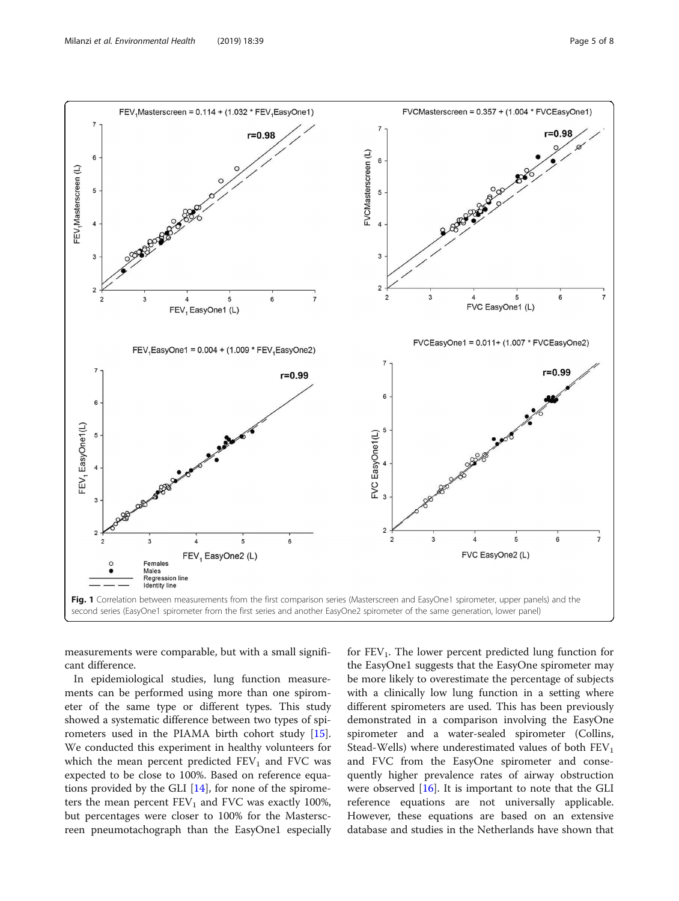

<span id="page-4-0"></span>

measurements were comparable, but with a small significant difference.

In epidemiological studies, lung function measurements can be performed using more than one spirometer of the same type or different types. This study showed a systematic difference between two types of spirometers used in the PIAMA birth cohort study [\[15](#page-7-0)]. We conducted this experiment in healthy volunteers for which the mean percent predicted  $FEV<sub>1</sub>$  and FVC was expected to be close to 100%. Based on reference equations provided by the GLI  $[14]$ , for none of the spirometers the mean percent  $FEV<sub>1</sub>$  and FVC was exactly 100%, but percentages were closer to 100% for the Masterscreen pneumotachograph than the EasyOne1 especially

for  $FEV<sub>1</sub>$ . The lower percent predicted lung function for the EasyOne1 suggests that the EasyOne spirometer may be more likely to overestimate the percentage of subjects with a clinically low lung function in a setting where different spirometers are used. This has been previously demonstrated in a comparison involving the EasyOne spirometer and a water-sealed spirometer (Collins, Stead-Wells) where underestimated values of both  $FEV<sub>1</sub>$ and FVC from the EasyOne spirometer and consequently higher prevalence rates of airway obstruction were observed  $[16]$  $[16]$  $[16]$ . It is important to note that the GLI reference equations are not universally applicable. However, these equations are based on an extensive database and studies in the Netherlands have shown that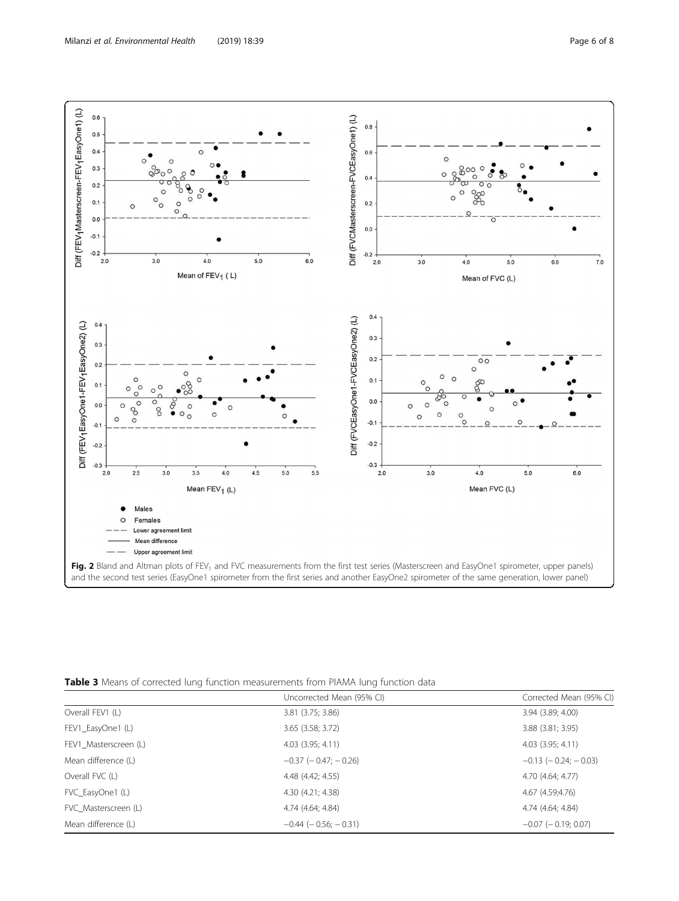

<span id="page-5-0"></span>

Table 3 Means of corrected lung function measurements from PIAMA lung function data

|                       | Uncorrected Mean (95% CI)     | Corrected Mean (95% CI)       |
|-----------------------|-------------------------------|-------------------------------|
| Overall FEV1 (L)      | 3.81 (3.75; 3.86)             | 3.94 (3.89; 4.00)             |
| FEV1_EasyOne1 (L)     | 3.65 (3.58; 3.72)             | 3.88 (3.81; 3.95)             |
| FEV1 Masterscreen (L) | $4.03$ $(3.95; 4.11)$         | $4.03$ $(3.95; 4.11)$         |
| Mean difference (L)   | $-0.37$ ( $-0.47$ ; $-0.26$ ) | $-0.13$ ( $-0.24$ ; $-0.03$ ) |
| Overall FVC (L)       | 4.48 (4.42; 4.55)             | 4.70 (4.64; 4.77)             |
| FVC_EasyOne1 (L)      | 4.30 (4.21; 4.38)             | 4.67 (4.59;4.76)              |
| FVC Masterscreen (L)  | 4.74 (4.64; 4.84)             | 4.74 (4.64; 4.84)             |
| Mean difference (L)   | $-0.44$ ( $-0.56$ ; $-0.31$ ) | $-0.07$ ( $-0.19$ ; 0.07)     |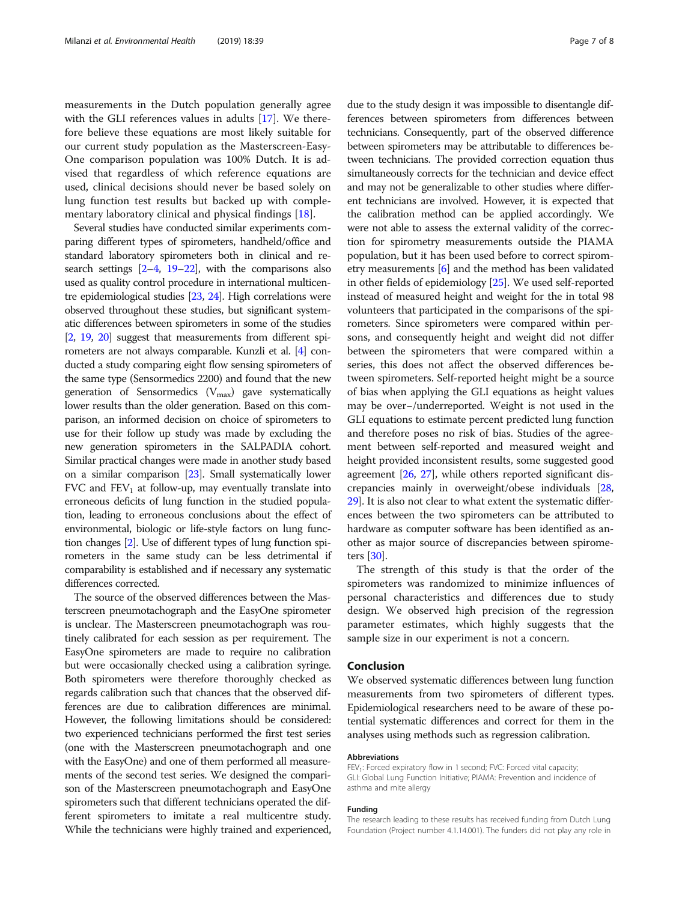measurements in the Dutch population generally agree with the GLI references values in adults [[17](#page-7-0)]. We therefore believe these equations are most likely suitable for our current study population as the Masterscreen-Easy-One comparison population was 100% Dutch. It is advised that regardless of which reference equations are used, clinical decisions should never be based solely on lung function test results but backed up with complementary laboratory clinical and physical findings [[18\]](#page-7-0).

Several studies have conducted similar experiments comparing different types of spirometers, handheld/office and standard laboratory spirometers both in clinical and research settings  $[2-4, 19-22]$  $[2-4, 19-22]$  $[2-4, 19-22]$  $[2-4, 19-22]$  $[2-4, 19-22]$  $[2-4, 19-22]$  $[2-4, 19-22]$ , with the comparisons also used as quality control procedure in international multicentre epidemiological studies [\[23](#page-7-0), [24\]](#page-7-0). High correlations were observed throughout these studies, but significant systematic differences between spirometers in some of the studies [[2](#page-7-0), [19,](#page-7-0) [20](#page-7-0)] suggest that measurements from different spirometers are not always comparable. Kunzli et al. [\[4](#page-7-0)] conducted a study comparing eight flow sensing spirometers of the same type (Sensormedics 2200) and found that the new generation of Sensormedics  $(V_{\text{max}})$  gave systematically lower results than the older generation. Based on this comparison, an informed decision on choice of spirometers to use for their follow up study was made by excluding the new generation spirometers in the SALPADIA cohort. Similar practical changes were made in another study based on a similar comparison [\[23\]](#page-7-0). Small systematically lower FVC and  $FEV<sub>1</sub>$  at follow-up, may eventually translate into erroneous deficits of lung function in the studied population, leading to erroneous conclusions about the effect of environmental, biologic or life-style factors on lung function changes [[2](#page-7-0)]. Use of different types of lung function spirometers in the same study can be less detrimental if comparability is established and if necessary any systematic differences corrected.

The source of the observed differences between the Masterscreen pneumotachograph and the EasyOne spirometer is unclear. The Masterscreen pneumotachograph was routinely calibrated for each session as per requirement. The EasyOne spirometers are made to require no calibration but were occasionally checked using a calibration syringe. Both spirometers were therefore thoroughly checked as regards calibration such that chances that the observed differences are due to calibration differences are minimal. However, the following limitations should be considered: two experienced technicians performed the first test series (one with the Masterscreen pneumotachograph and one with the EasyOne) and one of them performed all measurements of the second test series. We designed the comparison of the Masterscreen pneumotachograph and EasyOne spirometers such that different technicians operated the different spirometers to imitate a real multicentre study. While the technicians were highly trained and experienced, due to the study design it was impossible to disentangle differences between spirometers from differences between technicians. Consequently, part of the observed difference between spirometers may be attributable to differences between technicians. The provided correction equation thus simultaneously corrects for the technician and device effect and may not be generalizable to other studies where different technicians are involved. However, it is expected that the calibration method can be applied accordingly. We were not able to assess the external validity of the correction for spirometry measurements outside the PIAMA population, but it has been used before to correct spirometry measurements [\[6\]](#page-7-0) and the method has been validated in other fields of epidemiology [\[25\]](#page-7-0). We used self-reported instead of measured height and weight for the in total 98 volunteers that participated in the comparisons of the spirometers. Since spirometers were compared within persons, and consequently height and weight did not differ between the spirometers that were compared within a series, this does not affect the observed differences between spirometers. Self-reported height might be a source of bias when applying the GLI equations as height values may be over−/underreported. Weight is not used in the GLI equations to estimate percent predicted lung function and therefore poses no risk of bias. Studies of the agreement between self-reported and measured weight and height provided inconsistent results, some suggested good agreement [\[26](#page-7-0), [27\]](#page-7-0), while others reported significant discrepancies mainly in overweight/obese individuals [[28](#page-7-0), [29](#page-7-0)]. It is also not clear to what extent the systematic differences between the two spirometers can be attributed to hardware as computer software has been identified as another as major source of discrepancies between spirometers [\[30\]](#page-7-0).

The strength of this study is that the order of the spirometers was randomized to minimize influences of personal characteristics and differences due to study design. We observed high precision of the regression parameter estimates, which highly suggests that the sample size in our experiment is not a concern.

#### Conclusion

We observed systematic differences between lung function measurements from two spirometers of different types. Epidemiological researchers need to be aware of these potential systematic differences and correct for them in the analyses using methods such as regression calibration.

#### Abbreviations

FEV<sub>1</sub>: Forced expiratory flow in 1 second; FVC: Forced vital capacity; GLI: Global Lung Function Initiative; PIAMA: Prevention and incidence of asthma and mite allergy

#### Funding

The research leading to these results has received funding from Dutch Lung Foundation (Project number 4.1.14.001). The funders did not play any role in